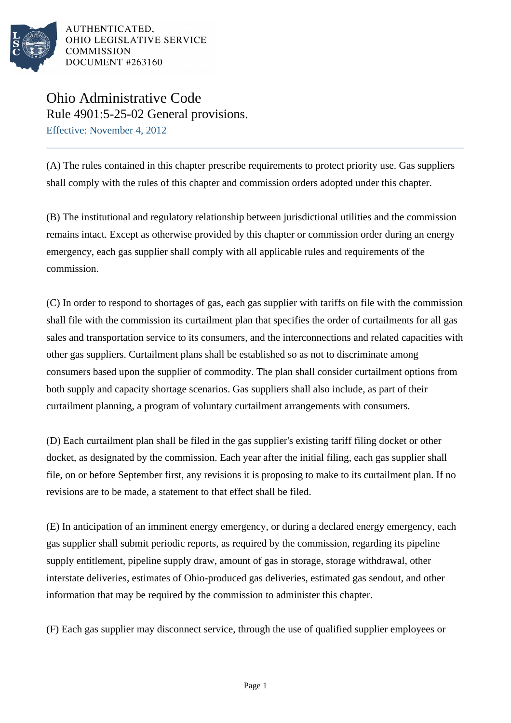

AUTHENTICATED, OHIO LEGISLATIVE SERVICE **COMMISSION** DOCUMENT #263160

## Ohio Administrative Code Rule 4901:5-25-02 General provisions. Effective: November 4, 2012

(A) The rules contained in this chapter prescribe requirements to protect priority use. Gas suppliers shall comply with the rules of this chapter and commission orders adopted under this chapter.

(B) The institutional and regulatory relationship between jurisdictional utilities and the commission remains intact. Except as otherwise provided by this chapter or commission order during an energy emergency, each gas supplier shall comply with all applicable rules and requirements of the commission.

(C) In order to respond to shortages of gas, each gas supplier with tariffs on file with the commission shall file with the commission its curtailment plan that specifies the order of curtailments for all gas sales and transportation service to its consumers, and the interconnections and related capacities with other gas suppliers. Curtailment plans shall be established so as not to discriminate among consumers based upon the supplier of commodity. The plan shall consider curtailment options from both supply and capacity shortage scenarios. Gas suppliers shall also include, as part of their curtailment planning, a program of voluntary curtailment arrangements with consumers.

(D) Each curtailment plan shall be filed in the gas supplier's existing tariff filing docket or other docket, as designated by the commission. Each year after the initial filing, each gas supplier shall file, on or before September first, any revisions it is proposing to make to its curtailment plan. If no revisions are to be made, a statement to that effect shall be filed.

(E) In anticipation of an imminent energy emergency, or during a declared energy emergency, each gas supplier shall submit periodic reports, as required by the commission, regarding its pipeline supply entitlement, pipeline supply draw, amount of gas in storage, storage withdrawal, other interstate deliveries, estimates of Ohio-produced gas deliveries, estimated gas sendout, and other information that may be required by the commission to administer this chapter.

(F) Each gas supplier may disconnect service, through the use of qualified supplier employees or